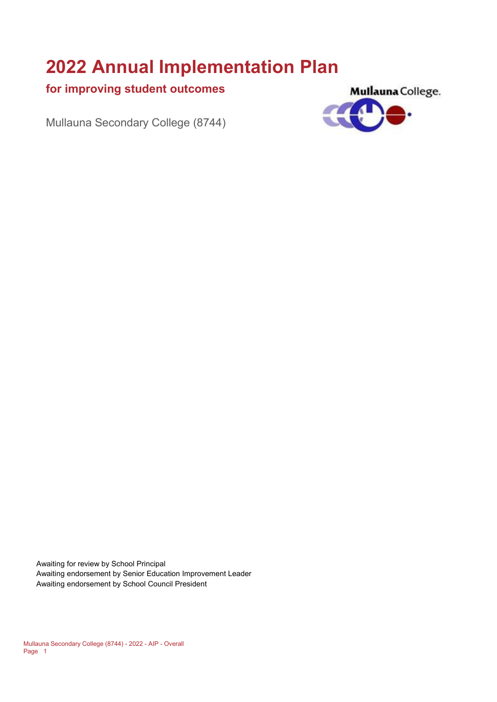# **2022 Annual Implementation Plan**

### **for improving student outcomes**



Mullauna Secondary College (8744)

Awaiting for review by School Principal Awaiting endorsement by Senior Education Improvement Leader Awaiting endorsement by School Council President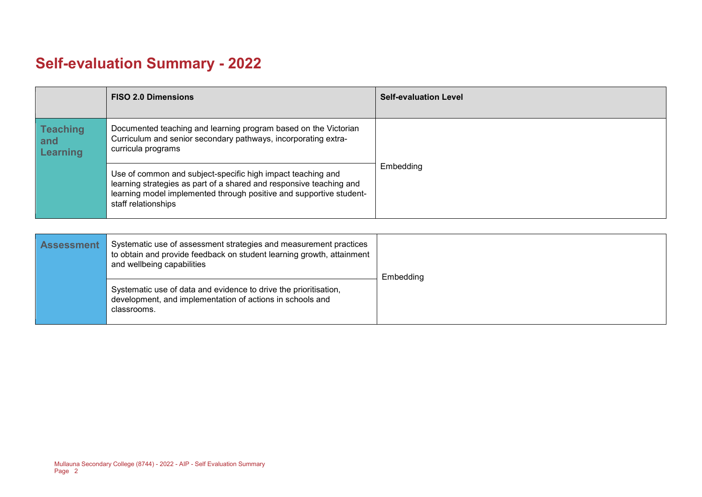# **Self-evaluation Summary - 2022**

|                                           | <b>FISO 2.0 Dimensions</b>                                                                                                                                                                                                       | <b>Self-evaluation Level</b> |  |
|-------------------------------------------|----------------------------------------------------------------------------------------------------------------------------------------------------------------------------------------------------------------------------------|------------------------------|--|
| <b>Teaching</b><br>and<br><b>Learning</b> | Documented teaching and learning program based on the Victorian<br>Curriculum and senior secondary pathways, incorporating extra-<br>curricula programs                                                                          |                              |  |
|                                           | Use of common and subject-specific high impact teaching and<br>learning strategies as part of a shared and responsive teaching and<br>learning model implemented through positive and supportive student-<br>staff relationships | Embedding                    |  |

| <b>Assessment</b> | Systematic use of assessment strategies and measurement practices<br>to obtain and provide feedback on student learning growth, attainment<br>and wellbeing capabilities | Embedding |
|-------------------|--------------------------------------------------------------------------------------------------------------------------------------------------------------------------|-----------|
|                   | Systematic use of data and evidence to drive the prioritisation,<br>development, and implementation of actions in schools and<br>classrooms.                             |           |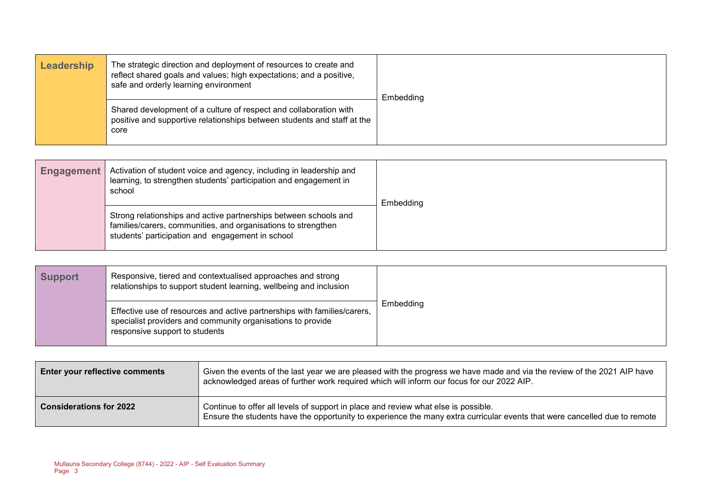| Leadership | The strategic direction and deployment of resources to create and<br>reflect shared goals and values; high expectations; and a positive,<br>safe and orderly learning environment | Embedding |
|------------|-----------------------------------------------------------------------------------------------------------------------------------------------------------------------------------|-----------|
|            | Shared development of a culture of respect and collaboration with<br>positive and supportive relationships between students and staff at the<br>core                              |           |

| <b>Engagement</b> | Activation of student voice and agency, including in leadership and<br>learning, to strengthen students' participation and engagement in<br>school                                    | Embedding |
|-------------------|---------------------------------------------------------------------------------------------------------------------------------------------------------------------------------------|-----------|
|                   | Strong relationships and active partnerships between schools and<br>families/carers, communities, and organisations to strengthen<br>students' participation and engagement in school |           |

| <b>Support</b> | Responsive, tiered and contextualised approaches and strong<br>relationships to support student learning, wellbeing and inclusion                                         |           |
|----------------|---------------------------------------------------------------------------------------------------------------------------------------------------------------------------|-----------|
|                | Effective use of resources and active partnerships with families/carers,<br>specialist providers and community organisations to provide<br>responsive support to students | Embedding |

| <b>Enter your reflective comments</b> | Given the events of the last year we are pleased with the progress we have made and via the review of the 2021 AIP have<br>acknowledged areas of further work required which will inform our focus for our 2022 AIP. |  |
|---------------------------------------|----------------------------------------------------------------------------------------------------------------------------------------------------------------------------------------------------------------------|--|
| <b>Considerations for 2022</b>        | Continue to offer all levels of support in place and review what else is possible.<br>Ensure the students have the opportunity to experience the many extra curricular events that were cancelled due to remote      |  |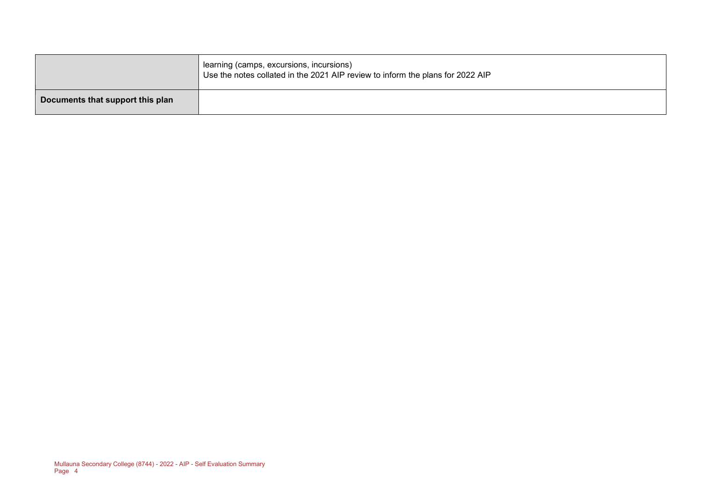|                                  | learning (camps, excursions, incursions)<br>Use the notes collated in the 2021 AIP review to inform the plans for 2022 AIP |
|----------------------------------|----------------------------------------------------------------------------------------------------------------------------|
| Documents that support this plan |                                                                                                                            |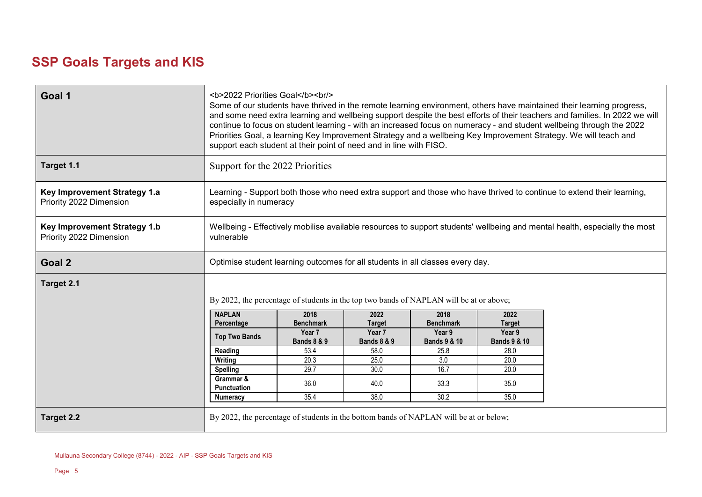## **SSP Goals Targets and KIS**

| Goal 1                                                  | <b>2022 Priorities Goal</b><br><br>Some of our students have thrived in the remote learning environment, others have maintained their learning progress,<br>and some need extra learning and wellbeing support despite the best efforts of their teachers and families. In 2022 we will<br>continue to focus on student learning - with an increased focus on numeracy - and student wellbeing through the 2022<br>Priorities Goal, a learning Key Improvement Strategy and a wellbeing Key Improvement Strategy. We will teach and<br>support each student at their point of need and in line with FISO. |                                  |                                  |                                   |                                   |                                                                                                                       |
|---------------------------------------------------------|-----------------------------------------------------------------------------------------------------------------------------------------------------------------------------------------------------------------------------------------------------------------------------------------------------------------------------------------------------------------------------------------------------------------------------------------------------------------------------------------------------------------------------------------------------------------------------------------------------------|----------------------------------|----------------------------------|-----------------------------------|-----------------------------------|-----------------------------------------------------------------------------------------------------------------------|
| Target 1.1                                              | Support for the 2022 Priorities                                                                                                                                                                                                                                                                                                                                                                                                                                                                                                                                                                           |                                  |                                  |                                   |                                   |                                                                                                                       |
| Key Improvement Strategy 1.a<br>Priority 2022 Dimension | especially in numeracy                                                                                                                                                                                                                                                                                                                                                                                                                                                                                                                                                                                    |                                  |                                  |                                   |                                   | Learning - Support both those who need extra support and those who have thrived to continue to extend their learning, |
| Key Improvement Strategy 1.b<br>Priority 2022 Dimension | Wellbeing - Effectively mobilise available resources to support students' wellbeing and mental health, especially the most<br>vulnerable                                                                                                                                                                                                                                                                                                                                                                                                                                                                  |                                  |                                  |                                   |                                   |                                                                                                                       |
| Goal 2                                                  | Optimise student learning outcomes for all students in all classes every day.                                                                                                                                                                                                                                                                                                                                                                                                                                                                                                                             |                                  |                                  |                                   |                                   |                                                                                                                       |
| Target 2.1                                              | By 2022, the percentage of students in the top two bands of NAPLAN will be at or above;                                                                                                                                                                                                                                                                                                                                                                                                                                                                                                                   |                                  |                                  |                                   |                                   |                                                                                                                       |
|                                                         | <b>NAPLAN</b>                                                                                                                                                                                                                                                                                                                                                                                                                                                                                                                                                                                             | 2018                             | 2022                             | 2018                              | 2022                              |                                                                                                                       |
|                                                         | Percentage                                                                                                                                                                                                                                                                                                                                                                                                                                                                                                                                                                                                | <b>Benchmark</b>                 | <b>Target</b>                    | <b>Benchmark</b>                  | <b>Target</b>                     |                                                                                                                       |
|                                                         | <b>Top Two Bands</b>                                                                                                                                                                                                                                                                                                                                                                                                                                                                                                                                                                                      | Year 7<br><b>Bands 8 &amp; 9</b> | Year 7<br><b>Bands 8 &amp; 9</b> | Year 9<br><b>Bands 9 &amp; 10</b> | Year 9<br><b>Bands 9 &amp; 10</b> |                                                                                                                       |
|                                                         | Reading                                                                                                                                                                                                                                                                                                                                                                                                                                                                                                                                                                                                   | 53.4                             | 58.0                             | 25.8                              | 28.0                              |                                                                                                                       |
|                                                         | <b>Writing</b>                                                                                                                                                                                                                                                                                                                                                                                                                                                                                                                                                                                            | 20.3                             | 25.0                             | 3.0                               | 20.0                              |                                                                                                                       |
|                                                         | <b>Spelling</b>                                                                                                                                                                                                                                                                                                                                                                                                                                                                                                                                                                                           | 29.7                             | 30.0                             | 16.7                              | 20.0                              |                                                                                                                       |
|                                                         | Grammar &<br><b>Punctuation</b>                                                                                                                                                                                                                                                                                                                                                                                                                                                                                                                                                                           | 36.0                             | 40.0                             | 33.3                              | 35.0                              |                                                                                                                       |
|                                                         | 35.4<br>38.0<br>30.2<br>35.0<br>Numeracy                                                                                                                                                                                                                                                                                                                                                                                                                                                                                                                                                                  |                                  |                                  |                                   |                                   |                                                                                                                       |
| <b>Target 2.2</b>                                       | By 2022, the percentage of students in the bottom bands of NAPLAN will be at or below;                                                                                                                                                                                                                                                                                                                                                                                                                                                                                                                    |                                  |                                  |                                   |                                   |                                                                                                                       |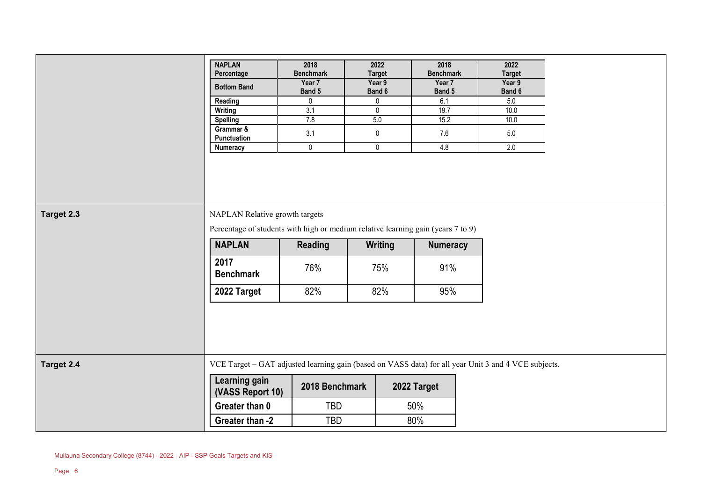| <b>NAPLAN</b><br>Percentage     | 2018<br><b>Benchmark</b> | 2022<br><b>Target</b> | 2018<br><b>Benchmark</b> | 2022<br><b>Target</b> |
|---------------------------------|--------------------------|-----------------------|--------------------------|-----------------------|
| <b>Bottom Band</b>              | Year 7<br>Band 5         | Year 9<br>Band 6      | Year 7<br>Band 5         | Year 9<br>Band 6      |
| Reading                         |                          |                       | 6.1                      | 5.0                   |
| Writing                         | 3.1                      |                       | 19.7                     | 10.0                  |
| <b>Spelling</b>                 | 7.8                      | 5.0                   | 15.2                     | 10.0                  |
| Grammar &<br><b>Punctuation</b> | 3.1                      |                       | 7.6                      | 5.0                   |
| <b>Numeracy</b>                 |                          |                       | 4.8                      | 2.0                   |

**Target 2.3** NAPLAN Relative growth targets

Percentage of students with high or medium relative learning gain (years 7 to 9)

| <b>NAPLAN</b><br>Reading |     | Writing | <b>Numeracy</b> |  |
|--------------------------|-----|---------|-----------------|--|
| 2017<br><b>Benchmark</b> | 76% | 75%     | 91%             |  |
| 2022 Target              | 82% | 82%     | 95%             |  |

**Target 2.4** VCE Target – GAT adjusted learning gain (based on VASS data) for all year Unit 3 and 4 VCE subjects.

| Learning gain<br>(VASS Report 10) | 2018 Benchmark | 2022 Target |  |
|-----------------------------------|----------------|-------------|--|
| Greater than 0                    | RD.            | .50%        |  |
| Greater than -2                   |                | 80%         |  |
|                                   |                |             |  |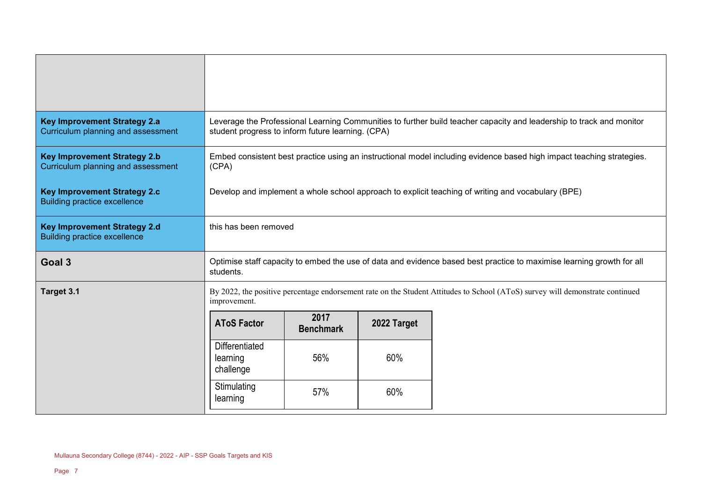| <b>Key Improvement Strategy 2.a</b><br>Curriculum planning and assessment  | Leverage the Professional Learning Communities to further build teacher capacity and leadership to track and monitor<br>student progress to inform future learning. (CPA) |                          |             |                                                                                                                               |
|----------------------------------------------------------------------------|---------------------------------------------------------------------------------------------------------------------------------------------------------------------------|--------------------------|-------------|-------------------------------------------------------------------------------------------------------------------------------|
| <b>Key Improvement Strategy 2.b</b><br>Curriculum planning and assessment  | Embed consistent best practice using an instructional model including evidence based high impact teaching strategies.<br>(CPA)                                            |                          |             |                                                                                                                               |
| <b>Key Improvement Strategy 2.c</b><br><b>Building practice excellence</b> | Develop and implement a whole school approach to explicit teaching of writing and vocabulary (BPE)                                                                        |                          |             |                                                                                                                               |
| <b>Key Improvement Strategy 2.d</b><br><b>Building practice excellence</b> | this has been removed                                                                                                                                                     |                          |             |                                                                                                                               |
| Goal 3                                                                     | Optimise staff capacity to embed the use of data and evidence based best practice to maximise learning growth for all<br>students.                                        |                          |             |                                                                                                                               |
| Target 3.1                                                                 | improvement.                                                                                                                                                              |                          |             | By 2022, the positive percentage endorsement rate on the Student Attitudes to School (AToS) survey will demonstrate continued |
|                                                                            | <b>AToS Factor</b>                                                                                                                                                        | 2017<br><b>Benchmark</b> | 2022 Target |                                                                                                                               |
|                                                                            | Differentiated<br>learning<br>challenge                                                                                                                                   | 56%                      | 60%         |                                                                                                                               |
|                                                                            | Stimulating<br>learning                                                                                                                                                   | 57%                      | 60%         |                                                                                                                               |

÷

-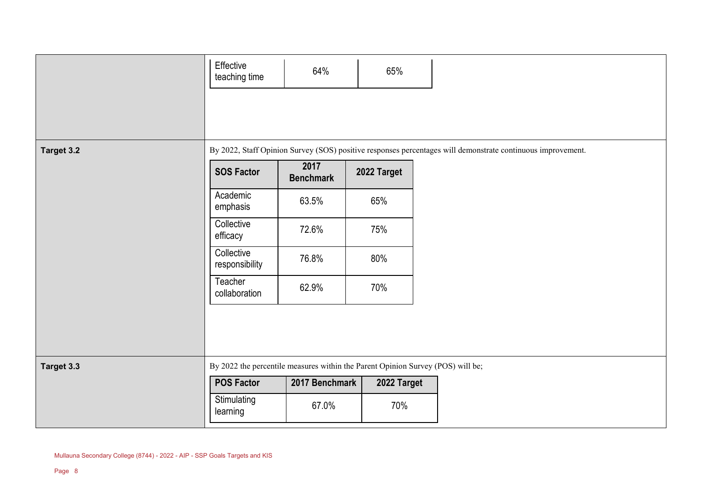|            | Effective<br>teaching time                                                      | 64%                      | 65%         |                                                                                                             |  |  |
|------------|---------------------------------------------------------------------------------|--------------------------|-------------|-------------------------------------------------------------------------------------------------------------|--|--|
|            |                                                                                 |                          |             |                                                                                                             |  |  |
| Target 3.2 |                                                                                 |                          |             | By 2022, Staff Opinion Survey (SOS) positive responses percentages will demonstrate continuous improvement. |  |  |
|            | <b>SOS Factor</b>                                                               | 2017<br><b>Benchmark</b> | 2022 Target |                                                                                                             |  |  |
|            | Academic<br>emphasis                                                            | 63.5%                    | 65%         |                                                                                                             |  |  |
|            | Collective<br>efficacy                                                          | 72.6%                    | 75%         |                                                                                                             |  |  |
|            | Collective<br>responsibility                                                    | 76.8%                    | 80%         |                                                                                                             |  |  |
|            | Teacher<br>collaboration                                                        | 62.9%                    | 70%         |                                                                                                             |  |  |
|            |                                                                                 |                          |             |                                                                                                             |  |  |
|            |                                                                                 |                          |             |                                                                                                             |  |  |
| Target 3.3 | By 2022 the percentile measures within the Parent Opinion Survey (POS) will be; |                          |             |                                                                                                             |  |  |
|            | <b>POS Factor</b>                                                               | 2017 Benchmark           | 2022 Target |                                                                                                             |  |  |
|            | Stimulating<br>learning                                                         | 67.0%                    | 70%         |                                                                                                             |  |  |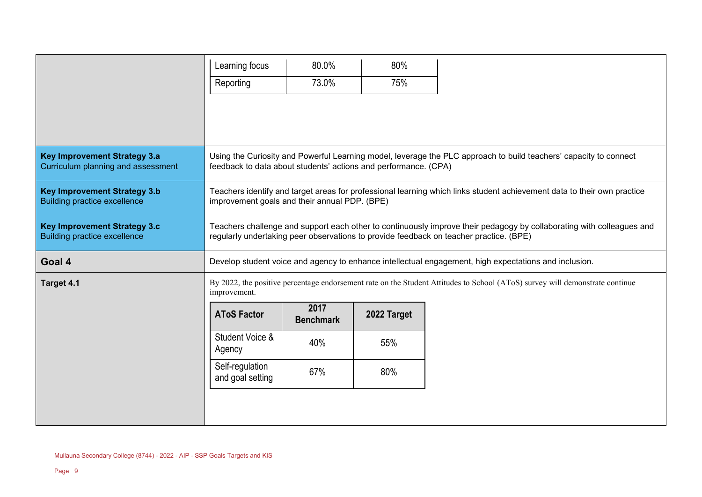|                                                                            | Learning focus                                                  | 80.0%                    | 80%         |                                                                                                                                                                                                                 |
|----------------------------------------------------------------------------|-----------------------------------------------------------------|--------------------------|-------------|-----------------------------------------------------------------------------------------------------------------------------------------------------------------------------------------------------------------|
|                                                                            | Reporting                                                       | 73.0%                    | 75%         |                                                                                                                                                                                                                 |
|                                                                            |                                                                 |                          |             |                                                                                                                                                                                                                 |
|                                                                            |                                                                 |                          |             |                                                                                                                                                                                                                 |
| <b>Key Improvement Strategy 3.a</b><br>Curriculum planning and assessment  | feedback to data about students' actions and performance. (CPA) |                          |             | Using the Curiosity and Powerful Learning model, leverage the PLC approach to build teachers' capacity to connect                                                                                               |
| <b>Key Improvement Strategy 3.b</b><br><b>Building practice excellence</b> | improvement goals and their annual PDP. (BPE)                   |                          |             | Teachers identify and target areas for professional learning which links student achievement data to their own practice                                                                                         |
| <b>Key Improvement Strategy 3.c</b><br><b>Building practice excellence</b> |                                                                 |                          |             | Teachers challenge and support each other to continuously improve their pedagogy by collaborating with colleagues and<br>regularly undertaking peer observations to provide feedback on teacher practice. (BPE) |
| Goal 4                                                                     |                                                                 |                          |             | Develop student voice and agency to enhance intellectual engagement, high expectations and inclusion.                                                                                                           |
| Target 4.1                                                                 | improvement.                                                    |                          |             | By 2022, the positive percentage endorsement rate on the Student Attitudes to School (AToS) survey will demonstrate continue                                                                                    |
|                                                                            | <b>AToS Factor</b>                                              | 2017<br><b>Benchmark</b> | 2022 Target |                                                                                                                                                                                                                 |
|                                                                            | Student Voice &<br>Agency                                       | 40%                      | 55%         |                                                                                                                                                                                                                 |
|                                                                            | Self-regulation<br>and goal setting                             | 67%                      | 80%         |                                                                                                                                                                                                                 |
|                                                                            |                                                                 |                          |             |                                                                                                                                                                                                                 |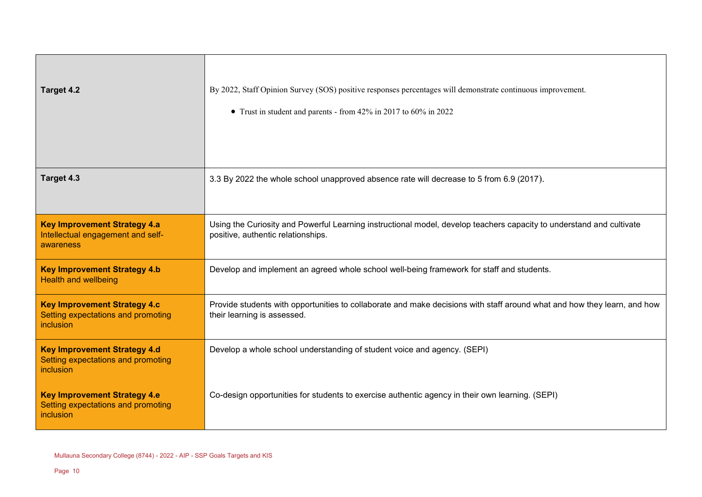| Target 4.2                                                                             | By 2022, Staff Opinion Survey (SOS) positive responses percentages will demonstrate continuous improvement.                                                |
|----------------------------------------------------------------------------------------|------------------------------------------------------------------------------------------------------------------------------------------------------------|
|                                                                                        | • Trust in student and parents - from 42% in 2017 to 60% in 2022                                                                                           |
|                                                                                        |                                                                                                                                                            |
| Target 4.3                                                                             | 3.3 By 2022 the whole school unapproved absence rate will decrease to 5 from 6.9 (2017).                                                                   |
| <b>Key Improvement Strategy 4.a</b><br>Intellectual engagement and self-<br>awareness  | Using the Curiosity and Powerful Learning instructional model, develop teachers capacity to understand and cultivate<br>positive, authentic relationships. |
| <b>Key Improvement Strategy 4.b</b><br><b>Health and wellbeing</b>                     | Develop and implement an agreed whole school well-being framework for staff and students.                                                                  |
| <b>Key Improvement Strategy 4.c</b><br>Setting expectations and promoting<br>inclusion | Provide students with opportunities to collaborate and make decisions with staff around what and how they learn, and how<br>their learning is assessed.    |
| <b>Key Improvement Strategy 4.d</b><br>Setting expectations and promoting<br>inclusion | Develop a whole school understanding of student voice and agency. (SEPI)                                                                                   |
| <b>Key Improvement Strategy 4.e</b><br>Setting expectations and promoting<br>inclusion | Co-design opportunities for students to exercise authentic agency in their own learning. (SEPI)                                                            |

٦Ī,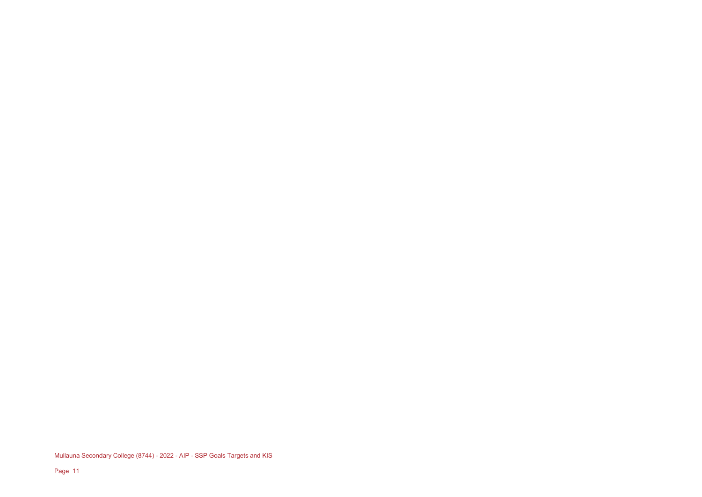Mullauna Secondary College (8744) - 2022 - AIP - SSP Goals Targets and KIS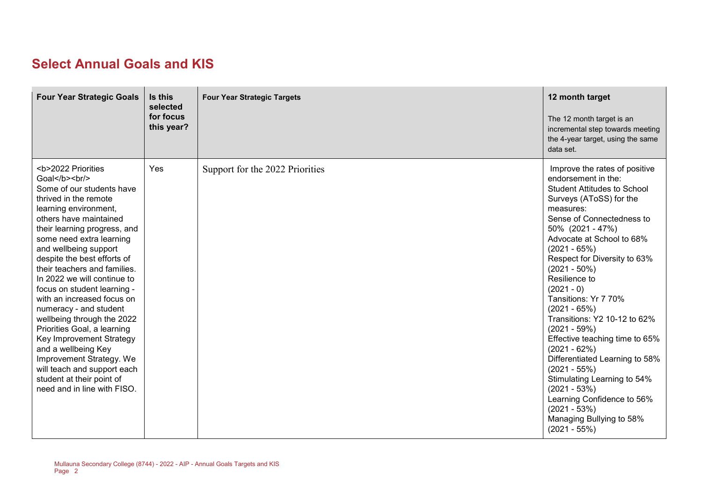## **Select Annual Goals and KIS**

| <b>Four Year Strategic Goals</b>                                                                                                                     | Is this<br>selected<br>for focus<br>this year? | <b>Four Year Strategic Targets</b> | 12 month target<br>The 12 month target is an<br>incremental step towards meeting<br>the 4-year target, using the same<br>data set.                                                                                                                                                                                                                                                                                                                                                                                                                                                                                                                                        |
|------------------------------------------------------------------------------------------------------------------------------------------------------|------------------------------------------------|------------------------------------|---------------------------------------------------------------------------------------------------------------------------------------------------------------------------------------------------------------------------------------------------------------------------------------------------------------------------------------------------------------------------------------------------------------------------------------------------------------------------------------------------------------------------------------------------------------------------------------------------------------------------------------------------------------------------|
| <b>2022 Priorities<br/>Goal</b><br><br><br>Some of our students have<br>thrived in the remote<br>learning environment,<br>others have maintained<br> | Yes                                            | Support for the 2022 Priorities    | Improve the rates of positive<br>endorsement in the:<br><b>Student Attitudes to School</b><br>Surveys (AToSS) for the<br>measures:<br>Sense of Connectedness to<br>50% (2021 - 47%)<br>Advocate at School to 68%<br>$(2021 - 65%)$<br>Respect for Diversity to 63%<br>$(2021 - 50\%)$<br>Resilience to<br>$(2021 - 0)$<br>Tansitions: Yr 7 70%<br>$(2021 - 65%)$<br>Transitions: Y2 10-12 to 62%<br>$(2021 - 59%)$<br>Effective teaching time to 65%<br>$(2021 - 62%)$<br>Differentiated Learning to 58%<br>$(2021 - 55%)$<br>Stimulating Learning to 54%<br>$(2021 - 53%)$<br>Learning Confidence to 56%<br>$(2021 - 53%)$<br>Managing Bullying to 58%<br>$(2021 - 55%)$ |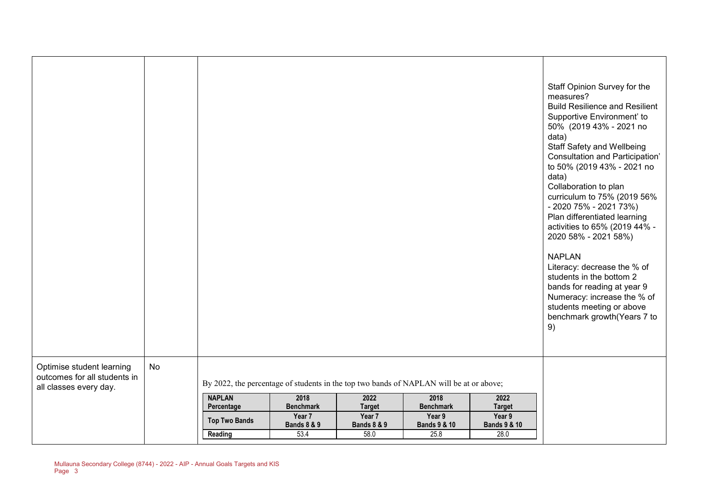|                                                                                     |    |                                                                                         |                                  |                                  |                                   |                                   | Staff Opinion Survey for the<br>measures?<br><b>Build Resilience and Resilient</b><br>Supportive Environment' to<br>50% (2019 43% - 2021 no<br>data)<br><b>Staff Safety and Wellbeing</b><br>Consultation and Participation'<br>to 50% (2019 43% - 2021 no<br>data)<br>Collaboration to plan<br>curriculum to 75% (2019 56%<br>- 2020 75% - 2021 73%)<br>Plan differentiated learning<br>activities to 65% (2019 44% -<br>2020 58% - 2021 58%)<br><b>NAPLAN</b><br>Literacy: decrease the % of<br>students in the bottom 2<br>bands for reading at year 9<br>Numeracy: increase the % of<br>students meeting or above<br>benchmark growth(Years 7 to<br>9) |
|-------------------------------------------------------------------------------------|----|-----------------------------------------------------------------------------------------|----------------------------------|----------------------------------|-----------------------------------|-----------------------------------|------------------------------------------------------------------------------------------------------------------------------------------------------------------------------------------------------------------------------------------------------------------------------------------------------------------------------------------------------------------------------------------------------------------------------------------------------------------------------------------------------------------------------------------------------------------------------------------------------------------------------------------------------------|
| Optimise student learning<br>outcomes for all students in<br>all classes every day. | No | By 2022, the percentage of students in the top two bands of NAPLAN will be at or above; |                                  |                                  |                                   |                                   |                                                                                                                                                                                                                                                                                                                                                                                                                                                                                                                                                                                                                                                            |
|                                                                                     |    | <b>NAPLAN</b><br>Percentage                                                             | 2018<br><b>Benchmark</b>         | 2022<br><b>Target</b>            | 2018<br><b>Benchmark</b>          | 2022<br><b>Target</b>             |                                                                                                                                                                                                                                                                                                                                                                                                                                                                                                                                                                                                                                                            |
|                                                                                     |    | <b>Top Two Bands</b>                                                                    | Year 7<br><b>Bands 8 &amp; 9</b> | Year 7<br><b>Bands 8 &amp; 9</b> | Year 9<br><b>Bands 9 &amp; 10</b> | Year 9<br><b>Bands 9 &amp; 10</b> |                                                                                                                                                                                                                                                                                                                                                                                                                                                                                                                                                                                                                                                            |
|                                                                                     |    | Reading                                                                                 | 53.4                             | 58.0                             | 25.8                              | 28.0                              |                                                                                                                                                                                                                                                                                                                                                                                                                                                                                                                                                                                                                                                            |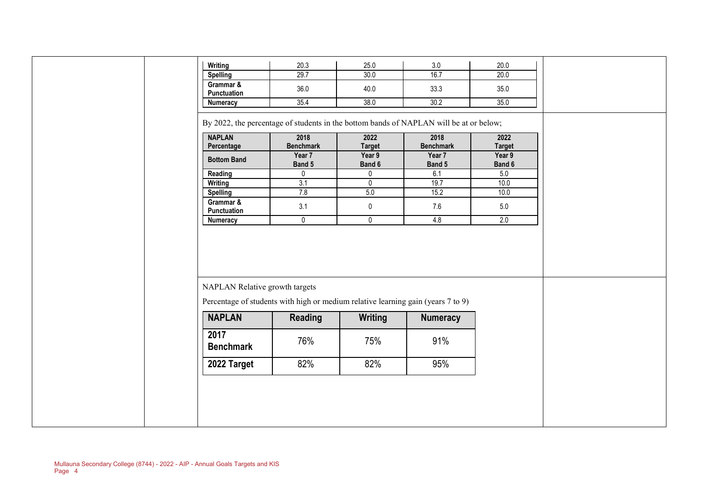| Writing                                                 | 20.3                                                                                                                         |                                 |                                    |                                 |
|---------------------------------------------------------|------------------------------------------------------------------------------------------------------------------------------|---------------------------------|------------------------------------|---------------------------------|
|                                                         |                                                                                                                              | 25.0                            | 3.0                                | 20.0                            |
| <b>Spelling</b>                                         | 29.7                                                                                                                         | 30.0                            | 16.7                               | 20.0                            |
| Grammar &<br>Punctuation                                | 36.0                                                                                                                         | 40.0                            | 33.3                               | 35.0                            |
| Numeracy                                                | 35.4                                                                                                                         | 38.0                            | 30.2                               | 35.0                            |
| <b>NAPLAN</b><br>Percentage<br><b>Bottom Band</b>       | By 2022, the percentage of students in the bottom bands of NAPLAN will be at or below;<br>2018<br><b>Benchmark</b><br>Year 7 | 2022<br><b>Target</b><br>Year 9 | 2018<br><b>Benchmark</b><br>Year 7 | 2022<br><b>Target</b><br>Year 9 |
|                                                         | Band 5                                                                                                                       | Band 6                          | Band 5                             | Band 6                          |
| Reading                                                 | $\overline{0}$                                                                                                               | $\overline{0}$                  | 6.1                                | 5.0                             |
| <b>Writing</b>                                          | 3.1                                                                                                                          | $\overline{0}$                  | 19.7                               | 10.0                            |
|                                                         | 7.8                                                                                                                          | 5.0                             | 15.2                               | 10.0                            |
|                                                         |                                                                                                                              |                                 |                                    |                                 |
|                                                         | 3.1                                                                                                                          | $\pmb{0}$                       | 7.6                                | 5.0                             |
| <b>Spelling</b><br>Grammar &<br>Punctuation<br>Numeracy | $\mathbf 0$                                                                                                                  | $\overline{0}$                  | 4.8                                | 2.0                             |
| NAPLAN Relative growth targets<br><b>NAPLAN</b>         | Percentage of students with high or medium relative learning gain (years 7 to 9)<br><b>Reading</b>                           | <b>Writing</b>                  | <b>Numeracy</b>                    |                                 |
| 2017<br><b>Benchmark</b>                                | 76%                                                                                                                          | 75%                             | 91%                                |                                 |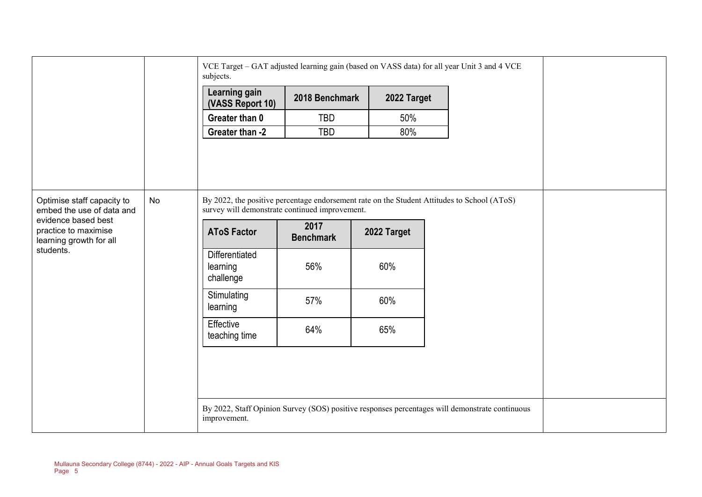|                                                                        |    | subjects.                                      |                          |             | VCE Target - GAT adjusted learning gain (based on VASS data) for all year Unit 3 and 4 VCE     |  |
|------------------------------------------------------------------------|----|------------------------------------------------|--------------------------|-------------|------------------------------------------------------------------------------------------------|--|
|                                                                        |    | Learning gain<br>(VASS Report 10)              | 2018 Benchmark           | 2022 Target |                                                                                                |  |
|                                                                        |    | Greater than 0                                 | <b>TBD</b>               | 50%         |                                                                                                |  |
|                                                                        |    | Greater than -2                                | <b>TBD</b>               | 80%         |                                                                                                |  |
|                                                                        |    |                                                |                          |             |                                                                                                |  |
| Optimise staff capacity to<br>embed the use of data and                | No | survey will demonstrate continued improvement. |                          |             | By 2022, the positive percentage endorsement rate on the Student Attitudes to School (AToS)    |  |
| evidence based best<br>practice to maximise<br>learning growth for all |    | <b>AToS Factor</b>                             | 2017<br><b>Benchmark</b> | 2022 Target |                                                                                                |  |
| students.                                                              |    | <b>Differentiated</b><br>learning<br>challenge | 56%                      | 60%         |                                                                                                |  |
|                                                                        |    | Stimulating<br>learning                        | 57%                      | 60%         |                                                                                                |  |
|                                                                        |    | Effective<br>teaching time                     | 64%                      | 65%         |                                                                                                |  |
|                                                                        |    |                                                |                          |             |                                                                                                |  |
|                                                                        |    | improvement.                                   |                          |             | By 2022, Staff Opinion Survey (SOS) positive responses percentages will demonstrate continuous |  |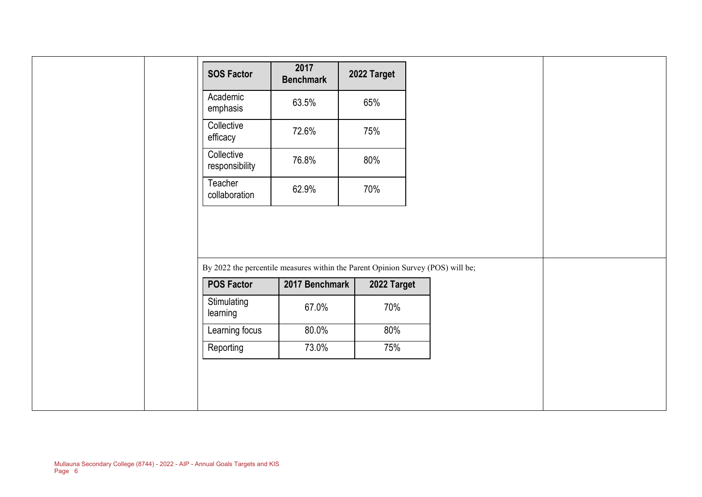| <b>SOS Factor</b>                                                                                                            | 2017<br><b>Benchmark</b> | 2022 Target |
|------------------------------------------------------------------------------------------------------------------------------|--------------------------|-------------|
| Academic<br>emphasis                                                                                                         | 63.5%                    | 65%         |
| Collective<br>efficacy                                                                                                       | 72.6%                    | 75%         |
| Collective<br>responsibility                                                                                                 | 76.8%                    | 80%         |
|                                                                                                                              |                          |             |
| Teacher<br>collaboration                                                                                                     | 62.9%                    | 70%         |
|                                                                                                                              |                          |             |
| <b>POS Factor</b>                                                                                                            | 2017 Benchmark           | 2022 Target |
|                                                                                                                              | 67.0%                    | 70%         |
| By 2022 the percentile measures within the Parent Opinion Survey (POS) will be;<br>Stimulating<br>learning<br>Learning focus | 80.0%                    | 80%         |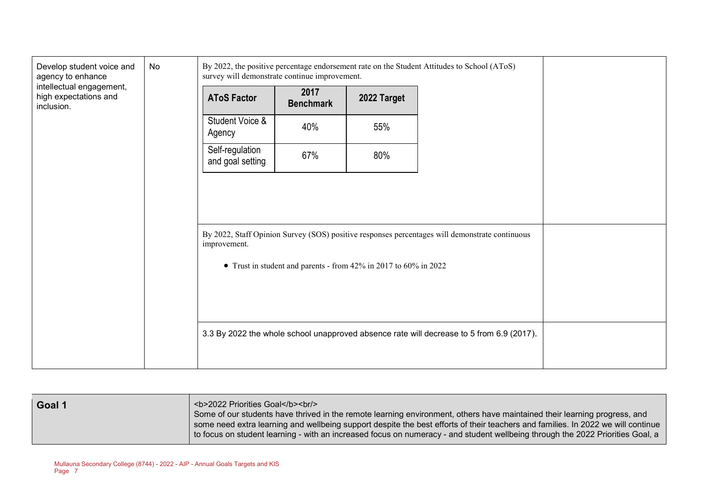| Develop student voice and<br>No<br>agency to enhance<br>intellectual engagement,<br>high expectations and<br>inclusion. |  | By 2022, the positive percentage endorsement rate on the Student Attitudes to School (AToS)<br>survey will demonstrate continue improvement. |                          |                                                                  |                                                                                                |  |  |  |
|-------------------------------------------------------------------------------------------------------------------------|--|----------------------------------------------------------------------------------------------------------------------------------------------|--------------------------|------------------------------------------------------------------|------------------------------------------------------------------------------------------------|--|--|--|
|                                                                                                                         |  | <b>AToS Factor</b>                                                                                                                           | 2017<br><b>Benchmark</b> | 2022 Target                                                      |                                                                                                |  |  |  |
|                                                                                                                         |  | Student Voice &<br>Agency                                                                                                                    | 40%                      | 55%                                                              |                                                                                                |  |  |  |
|                                                                                                                         |  | Self-regulation<br>and goal setting                                                                                                          | 67%                      | 80%                                                              |                                                                                                |  |  |  |
|                                                                                                                         |  |                                                                                                                                              |                          |                                                                  |                                                                                                |  |  |  |
|                                                                                                                         |  |                                                                                                                                              |                          |                                                                  |                                                                                                |  |  |  |
|                                                                                                                         |  | improvement.                                                                                                                                 |                          |                                                                  | By 2022, Staff Opinion Survey (SOS) positive responses percentages will demonstrate continuous |  |  |  |
|                                                                                                                         |  |                                                                                                                                              |                          | • Trust in student and parents - from 42% in 2017 to 60% in 2022 |                                                                                                |  |  |  |
|                                                                                                                         |  |                                                                                                                                              |                          |                                                                  |                                                                                                |  |  |  |
|                                                                                                                         |  |                                                                                                                                              |                          |                                                                  | 3.3 By 2022 the whole school unapproved absence rate will decrease to 5 from 6.9 (2017).       |  |  |  |
|                                                                                                                         |  |                                                                                                                                              |                          |                                                                  |                                                                                                |  |  |  |
|                                                                                                                         |  |                                                                                                                                              |                          |                                                                  |                                                                                                |  |  |  |

| Goal 1 | <b>2022 Priorities Goal</b><br><br>Some of our students have thrived in the remote learning environment, others have maintained their learning progress, and<br>some need extra learning and wellbeing support despite the best efforts of their teachers and families. In 2022 we will continue<br>to focus on student learning - with an increased focus on numeracy - and student wellbeing through the 2022 Priorities Goal, a |
|--------|------------------------------------------------------------------------------------------------------------------------------------------------------------------------------------------------------------------------------------------------------------------------------------------------------------------------------------------------------------------------------------------------------------------------------------|
|--------|------------------------------------------------------------------------------------------------------------------------------------------------------------------------------------------------------------------------------------------------------------------------------------------------------------------------------------------------------------------------------------------------------------------------------------|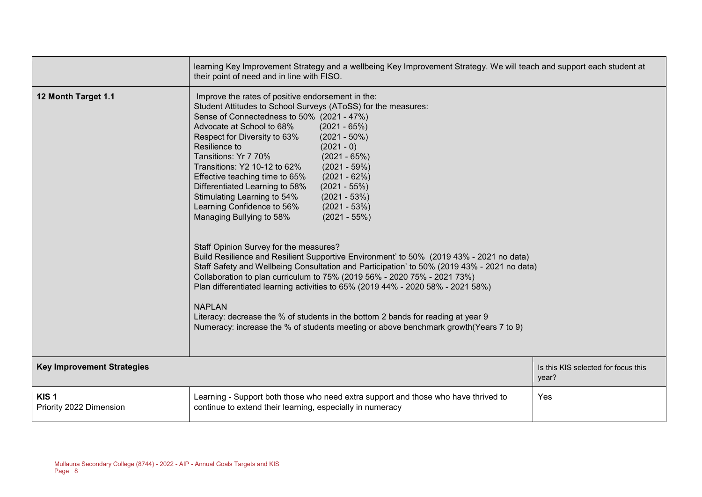|                                             | learning Key Improvement Strategy and a wellbeing Key Improvement Strategy. We will teach and support each student at<br>their point of need and in line with FISO.                                                                                                                                                                                                                                                                                                                                                                                                                                                                                                                                                                                                                                                                                                                                                                                                                                                                                                                                                                                                                                                                                    |                                              |  |  |  |  |  |
|---------------------------------------------|--------------------------------------------------------------------------------------------------------------------------------------------------------------------------------------------------------------------------------------------------------------------------------------------------------------------------------------------------------------------------------------------------------------------------------------------------------------------------------------------------------------------------------------------------------------------------------------------------------------------------------------------------------------------------------------------------------------------------------------------------------------------------------------------------------------------------------------------------------------------------------------------------------------------------------------------------------------------------------------------------------------------------------------------------------------------------------------------------------------------------------------------------------------------------------------------------------------------------------------------------------|----------------------------------------------|--|--|--|--|--|
| 12 Month Target 1.1                         | Improve the rates of positive endorsement in the:<br>Student Attitudes to School Surveys (AToSS) for the measures:<br>Sense of Connectedness to 50% (2021 - 47%)<br>Advocate at School to 68%<br>$(2021 - 65%)$<br>Respect for Diversity to 63%<br>$(2021 - 50\%)$<br>Resilience to<br>$(2021 - 0)$<br>Tansitions: Yr 7 70%<br>$(2021 - 65%)$<br>Transitions: Y2 10-12 to 62%<br>$(2021 - 59%)$<br>Effective teaching time to 65%<br>$(2021 - 62%)$<br>$(2021 - 55%)$<br>Differentiated Learning to 58%<br>Stimulating Learning to 54%<br>$(2021 - 53%)$<br>Learning Confidence to 56%<br>$(2021 - 53%)$<br>Managing Bullying to 58%<br>$(2021 - 55%)$<br>Staff Opinion Survey for the measures?<br>Build Resilience and Resilient Supportive Environment' to 50% (2019 43% - 2021 no data)<br>Staff Safety and Wellbeing Consultation and Participation' to 50% (2019 43% - 2021 no data)<br>Collaboration to plan curriculum to 75% (2019 56% - 2020 75% - 2021 73%)<br>Plan differentiated learning activities to 65% (2019 44% - 2020 58% - 2021 58%)<br><b>NAPLAN</b><br>Literacy: decrease the % of students in the bottom 2 bands for reading at year 9<br>Numeracy: increase the % of students meeting or above benchmark growth(Years 7 to 9) |                                              |  |  |  |  |  |
| <b>Key Improvement Strategies</b>           |                                                                                                                                                                                                                                                                                                                                                                                                                                                                                                                                                                                                                                                                                                                                                                                                                                                                                                                                                                                                                                                                                                                                                                                                                                                        | Is this KIS selected for focus this<br>year? |  |  |  |  |  |
| KIS <sub>1</sub><br>Priority 2022 Dimension | Learning - Support both those who need extra support and those who have thrived to<br>continue to extend their learning, especially in numeracy                                                                                                                                                                                                                                                                                                                                                                                                                                                                                                                                                                                                                                                                                                                                                                                                                                                                                                                                                                                                                                                                                                        | Yes                                          |  |  |  |  |  |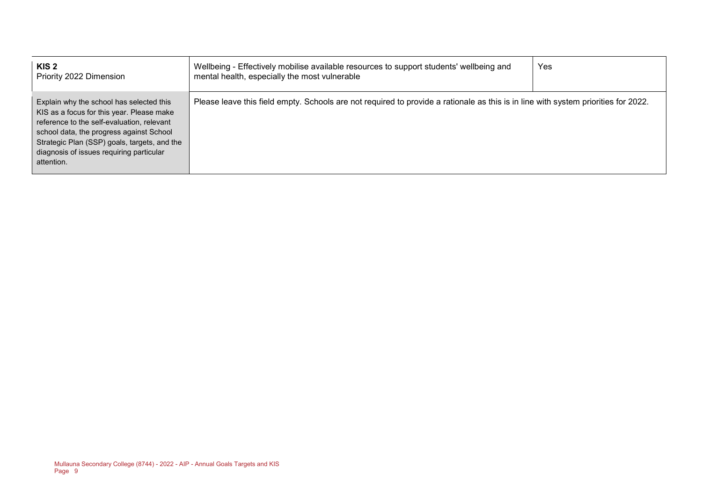| KIS <sub>2</sub><br>Priority 2022 Dimension                                                                                                                                                                                                                                               | Wellbeing - Effectively mobilise available resources to support students' wellbeing and<br>mental health, especially the most vulnerable | Yes |
|-------------------------------------------------------------------------------------------------------------------------------------------------------------------------------------------------------------------------------------------------------------------------------------------|------------------------------------------------------------------------------------------------------------------------------------------|-----|
| Explain why the school has selected this<br>KIS as a focus for this year. Please make<br>reference to the self-evaluation, relevant<br>school data, the progress against School<br>Strategic Plan (SSP) goals, targets, and the<br>diagnosis of issues requiring particular<br>attention. | Please leave this field empty. Schools are not required to provide a rationale as this is in line with system priorities for 2022.       |     |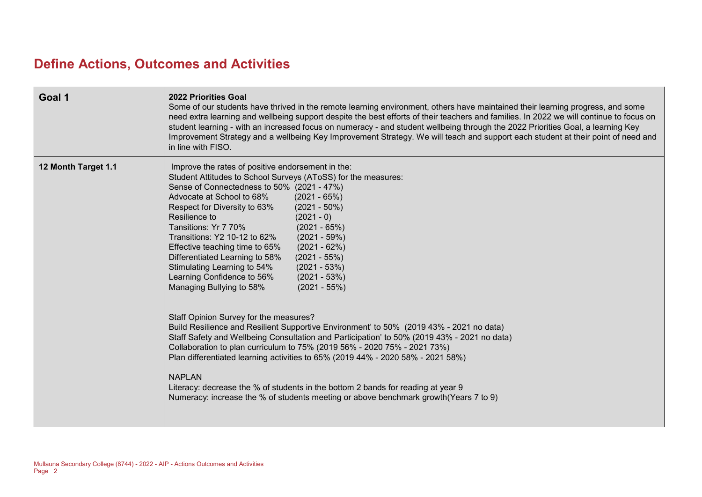## **Define Actions, Outcomes and Activities**

| Goal 1              | <b>2022 Priorities Goal</b><br>Some of our students have thrived in the remote learning environment, others have maintained their learning progress, and some<br>need extra learning and wellbeing support despite the best efforts of their teachers and families. In 2022 we will continue to focus on<br>student learning - with an increased focus on numeracy - and student wellbeing through the 2022 Priorities Goal, a learning Key<br>Improvement Strategy and a wellbeing Key Improvement Strategy. We will teach and support each student at their point of need and<br>in line with FISO.                                                                                                                                                                                                                                                                                                                                                                                                                                                                                                                                                                                                                                                   |
|---------------------|---------------------------------------------------------------------------------------------------------------------------------------------------------------------------------------------------------------------------------------------------------------------------------------------------------------------------------------------------------------------------------------------------------------------------------------------------------------------------------------------------------------------------------------------------------------------------------------------------------------------------------------------------------------------------------------------------------------------------------------------------------------------------------------------------------------------------------------------------------------------------------------------------------------------------------------------------------------------------------------------------------------------------------------------------------------------------------------------------------------------------------------------------------------------------------------------------------------------------------------------------------|
| 12 Month Target 1.1 | Improve the rates of positive endorsement in the:<br>Student Attitudes to School Surveys (AToSS) for the measures:<br>Sense of Connectedness to 50% (2021 - 47%)<br>Advocate at School to 68%<br>$(2021 - 65%)$<br>Respect for Diversity to 63%<br>$(2021 - 50\%)$<br>Resilience to<br>$(2021 - 0)$<br>Tansitions: Yr 7 70%<br>$(2021 - 65%)$<br>Transitions: Y2 10-12 to 62%<br>$(2021 - 59%)$<br>Effective teaching time to 65%<br>$(2021 - 62%)$<br>Differentiated Learning to 58%<br>$(2021 - 55%)$<br>Stimulating Learning to 54%<br>$(2021 - 53%)$<br>Learning Confidence to 56%<br>$(2021 - 53%)$<br>Managing Bullying to 58%<br>$(2021 - 55%)$<br>Staff Opinion Survey for the measures?<br>Build Resilience and Resilient Supportive Environment' to 50% (2019 43% - 2021 no data)<br>Staff Safety and Wellbeing Consultation and Participation' to 50% (2019 43% - 2021 no data)<br>Collaboration to plan curriculum to 75% (2019 56% - 2020 75% - 2021 73%)<br>Plan differentiated learning activities to 65% (2019 44% - 2020 58% - 2021 58%)<br><b>NAPLAN</b><br>Literacy: decrease the % of students in the bottom 2 bands for reading at year 9<br>Numeracy: increase the % of students meeting or above benchmark growth (Years 7 to 9) |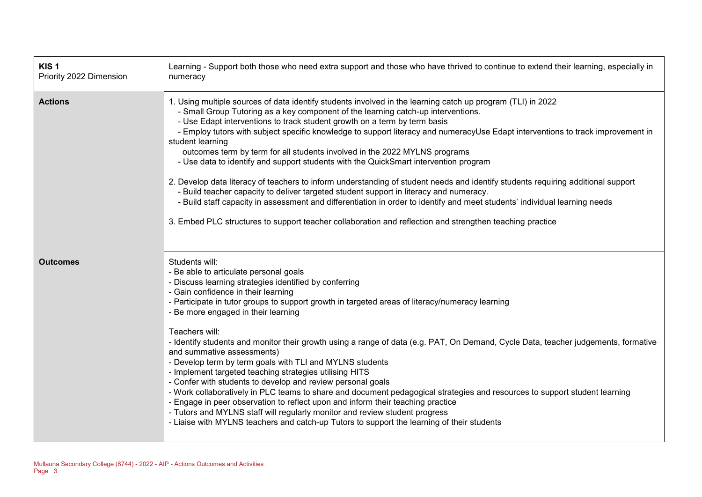| KIS <sub>1</sub><br>Priority 2022 Dimension | Learning - Support both those who need extra support and those who have thrived to continue to extend their learning, especially in<br>numeracy                                                                                                                                                                                                                                                                                                                                                                                                                                                                                                                                                                                                                                                                                                                                                                                                                                                                                                                                    |
|---------------------------------------------|------------------------------------------------------------------------------------------------------------------------------------------------------------------------------------------------------------------------------------------------------------------------------------------------------------------------------------------------------------------------------------------------------------------------------------------------------------------------------------------------------------------------------------------------------------------------------------------------------------------------------------------------------------------------------------------------------------------------------------------------------------------------------------------------------------------------------------------------------------------------------------------------------------------------------------------------------------------------------------------------------------------------------------------------------------------------------------|
| <b>Actions</b>                              | 1. Using multiple sources of data identify students involved in the learning catch up program (TLI) in 2022<br>- Small Group Tutoring as a key component of the learning catch-up interventions.<br>- Use Edapt interventions to track student growth on a term by term basis<br>- Employ tutors with subject specific knowledge to support literacy and numeracyUse Edapt interventions to track improvement in<br>student learning<br>outcomes term by term for all students involved in the 2022 MYLNS programs<br>- Use data to identify and support students with the QuickSmart intervention program<br>2. Develop data literacy of teachers to inform understanding of student needs and identify students requiring additional support<br>- Build teacher capacity to deliver targeted student support in literacy and numeracy.<br>- Build staff capacity in assessment and differentiation in order to identify and meet students' individual learning needs<br>3. Embed PLC structures to support teacher collaboration and reflection and strengthen teaching practice |
| <b>Outcomes</b>                             | Students will:<br>- Be able to articulate personal goals<br>- Discuss learning strategies identified by conferring<br>- Gain confidence in their learning<br>- Participate in tutor groups to support growth in targeted areas of literacy/numeracy learning<br>- Be more engaged in their learning<br>Teachers will:<br>- Identify students and monitor their growth using a range of data (e.g. PAT, On Demand, Cycle Data, teacher judgements, formative<br>and summative assessments)<br>- Develop term by term goals with TLI and MYLNS students<br>- Implement targeted teaching strategies utilising HITS<br>- Confer with students to develop and review personal goals<br>- Work collaboratively in PLC teams to share and document pedagogical strategies and resources to support student learning<br>- Engage in peer observation to reflect upon and inform their teaching practice<br>- Tutors and MYLNS staff will regularly monitor and review student progress<br>- Liaise with MYLNS teachers and catch-up Tutors to support the learning of their students      |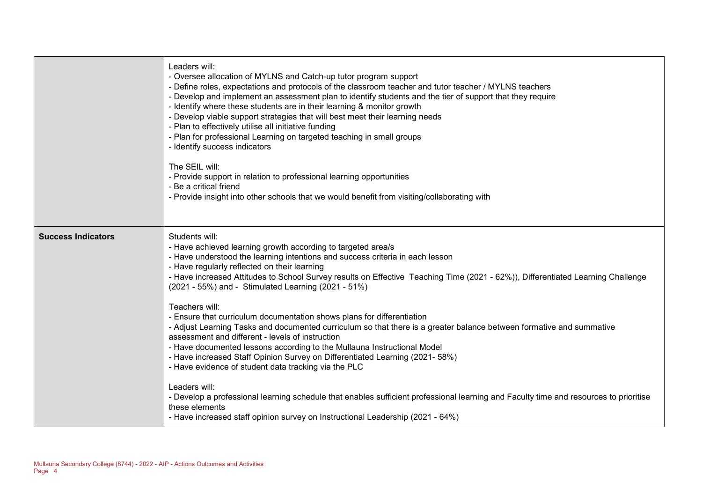|                           | Leaders will:<br>- Oversee allocation of MYLNS and Catch-up tutor program support<br>- Define roles, expectations and protocols of the classroom teacher and tutor teacher / MYLNS teachers<br>- Develop and implement an assessment plan to identify students and the tier of support that they require<br>- Identify where these students are in their learning & monitor growth<br>- Develop viable support strategies that will best meet their learning needs<br>- Plan to effectively utilise all initiative funding<br>- Plan for professional Learning on targeted teaching in small groups<br>- Identify success indicators<br>The SEIL will:<br>- Provide support in relation to professional learning opportunities<br>- Be a critical friend<br>- Provide insight into other schools that we would benefit from visiting/collaborating with                                                                                                                                                                                                                                                                                                            |
|---------------------------|--------------------------------------------------------------------------------------------------------------------------------------------------------------------------------------------------------------------------------------------------------------------------------------------------------------------------------------------------------------------------------------------------------------------------------------------------------------------------------------------------------------------------------------------------------------------------------------------------------------------------------------------------------------------------------------------------------------------------------------------------------------------------------------------------------------------------------------------------------------------------------------------------------------------------------------------------------------------------------------------------------------------------------------------------------------------------------------------------------------------------------------------------------------------|
| <b>Success Indicators</b> | Students will:<br>- Have achieved learning growth according to targeted area/s<br>- Have understood the learning intentions and success criteria in each lesson<br>- Have regularly reflected on their learning<br>- Have increased Attitudes to School Survey results on Effective Teaching Time (2021 - 62%)), Differentiated Learning Challenge<br>(2021 - 55%) and - Stimulated Learning (2021 - 51%)<br>Teachers will:<br>- Ensure that curriculum documentation shows plans for differentiation<br>- Adjust Learning Tasks and documented curriculum so that there is a greater balance between formative and summative<br>assessment and different - levels of instruction<br>- Have documented lessons according to the Mullauna Instructional Model<br>- Have increased Staff Opinion Survey on Differentiated Learning (2021- 58%)<br>- Have evidence of student data tracking via the PLC<br>Leaders will:<br>- Develop a professional learning schedule that enables sufficient professional learning and Faculty time and resources to prioritise<br>these elements<br>- Have increased staff opinion survey on Instructional Leadership (2021 - 64%) |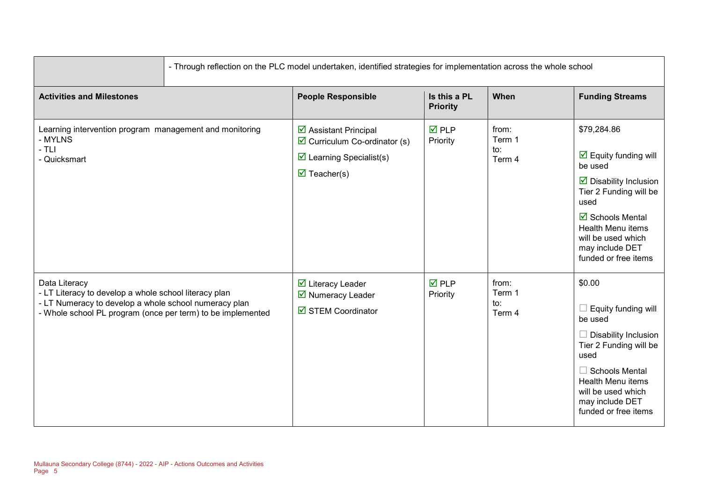|                                                                                                                                                                                                | - Through reflection on the PLC model undertaken, identified strategies for implementation across the whole school                                     |                                 |                                             |                                                                                                                                                                                                                                                                                  |
|------------------------------------------------------------------------------------------------------------------------------------------------------------------------------------------------|--------------------------------------------------------------------------------------------------------------------------------------------------------|---------------------------------|---------------------------------------------|----------------------------------------------------------------------------------------------------------------------------------------------------------------------------------------------------------------------------------------------------------------------------------|
| <b>Activities and Milestones</b>                                                                                                                                                               | <b>People Responsible</b>                                                                                                                              | Is this a PL<br><b>Priority</b> | When                                        | <b>Funding Streams</b>                                                                                                                                                                                                                                                           |
| Learning intervention program management and monitoring<br>- MYLNS<br>$-TLI$<br>- Quicksmart                                                                                                   | ☑ Assistant Principal<br>$\triangleright$ Curriculum Co-ordinator (s)<br>$\triangleright$ Learning Specialist(s)<br>$\overline{\mathbf{M}}$ Teacher(s) | $\overline{M}$ PLP<br>Priority  | from:<br>Term 1<br>$\mathsf{to}:$<br>Term 4 | \$79,284.86<br>$\overline{\mathbf{M}}$ Equity funding will<br>be used<br>$\triangleright$ Disability Inclusion<br>Tier 2 Funding will be<br>used<br>$\overline{\mathbf{M}}$ Schools Mental<br>Health Menu items<br>will be used which<br>may include DET<br>funded or free items |
| Data Literacy<br>- LT Literacy to develop a whole school literacy plan<br>- LT Numeracy to develop a whole school numeracy plan<br>- Whole school PL program (once per term) to be implemented | $\overline{\mathbf{y}}$ Literacy Leader<br>$\overline{\mathbf{y}}$ Numeracy Leader<br>$\overline{\boxtimes}$ STEM Coordinator                          | $\overline{M}$ PLP<br>Priority  | from:<br>Term 1<br>$\mathsf{to}:$<br>Term 4 | \$0.00<br>Equity funding will<br>be used<br>Disability Inclusion<br>Tier 2 Funding will be<br>used<br>$\Box$ Schools Mental<br>Health Menu items<br>will be used which<br>may include DET<br>funded or free items                                                                |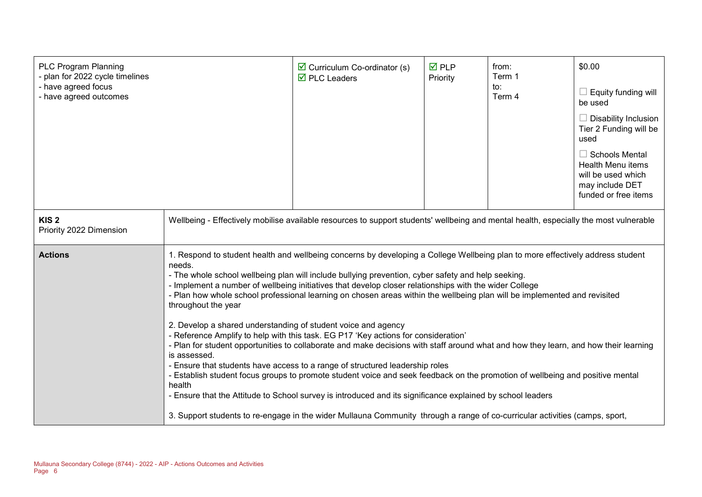| <b>PLC Program Planning</b><br>- plan for 2022 cycle timelines<br>- have agreed focus<br>- have agreed outcomes |                                                                                                                                                                                                                                                                                                                                                                                                                                                                                                              | $\triangleright$ Curriculum Co-ordinator (s)<br>$\overline{\boxtimes}$ PLC Leaders                                                                                                                                                                                                                                                                                                                                                                                                                                                                        | <b>☑</b> PLP<br>Priority | from:<br>Term 1<br>to:<br>Term 4 | \$0.00<br>$\Box$ Equity funding will<br>be used<br>$\Box$ Disability Inclusion                              |
|-----------------------------------------------------------------------------------------------------------------|--------------------------------------------------------------------------------------------------------------------------------------------------------------------------------------------------------------------------------------------------------------------------------------------------------------------------------------------------------------------------------------------------------------------------------------------------------------------------------------------------------------|-----------------------------------------------------------------------------------------------------------------------------------------------------------------------------------------------------------------------------------------------------------------------------------------------------------------------------------------------------------------------------------------------------------------------------------------------------------------------------------------------------------------------------------------------------------|--------------------------|----------------------------------|-------------------------------------------------------------------------------------------------------------|
|                                                                                                                 |                                                                                                                                                                                                                                                                                                                                                                                                                                                                                                              |                                                                                                                                                                                                                                                                                                                                                                                                                                                                                                                                                           |                          |                                  | Tier 2 Funding will be<br>used                                                                              |
|                                                                                                                 |                                                                                                                                                                                                                                                                                                                                                                                                                                                                                                              |                                                                                                                                                                                                                                                                                                                                                                                                                                                                                                                                                           |                          |                                  | $\Box$ Schools Mental<br>Health Menu items<br>will be used which<br>may include DET<br>funded or free items |
| KIS <sub>2</sub><br>Priority 2022 Dimension                                                                     |                                                                                                                                                                                                                                                                                                                                                                                                                                                                                                              | Wellbeing - Effectively mobilise available resources to support students' wellbeing and mental health, especially the most vulnerable                                                                                                                                                                                                                                                                                                                                                                                                                     |                          |                                  |                                                                                                             |
| <b>Actions</b>                                                                                                  | 1. Respond to student health and wellbeing concerns by developing a College Wellbeing plan to more effectively address student<br>needs.<br>- The whole school wellbeing plan will include bullying prevention, cyber safety and help seeking.<br>- Implement a number of wellbeing initiatives that develop closer relationships with the wider College<br>- Plan how whole school professional learning on chosen areas within the wellbeing plan will be implemented and revisited<br>throughout the year |                                                                                                                                                                                                                                                                                                                                                                                                                                                                                                                                                           |                          |                                  |                                                                                                             |
|                                                                                                                 | 2. Develop a shared understanding of student voice and agency<br>is assessed.<br>health                                                                                                                                                                                                                                                                                                                                                                                                                      | - Reference Amplify to help with this task. EG P17 'Key actions for consideration'<br>- Plan for student opportunities to collaborate and make decisions with staff around what and how they learn, and how their learning<br>- Ensure that students have access to a range of structured leadership roles<br>- Establish student focus groups to promote student voice and seek feedback on the promotion of wellbeing and positive mental<br>- Ensure that the Attitude to School survey is introduced and its significance explained by school leaders |                          |                                  |                                                                                                             |
|                                                                                                                 |                                                                                                                                                                                                                                                                                                                                                                                                                                                                                                              | 3. Support students to re-engage in the wider Mullauna Community through a range of co-curricular activities (camps, sport,                                                                                                                                                                                                                                                                                                                                                                                                                               |                          |                                  |                                                                                                             |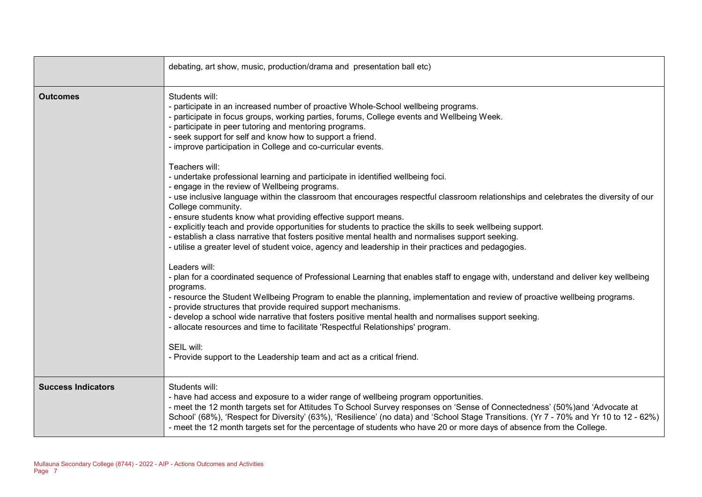|                           | debating, art show, music, production/drama and presentation ball etc)                                                                                                                                                                                                                                                                                                                                                                                                                                                                                                                                                                                                                                         |
|---------------------------|----------------------------------------------------------------------------------------------------------------------------------------------------------------------------------------------------------------------------------------------------------------------------------------------------------------------------------------------------------------------------------------------------------------------------------------------------------------------------------------------------------------------------------------------------------------------------------------------------------------------------------------------------------------------------------------------------------------|
| <b>Outcomes</b>           | Students will:<br>- participate in an increased number of proactive Whole-School wellbeing programs.<br>- participate in focus groups, working parties, forums, College events and Wellbeing Week.<br>- participate in peer tutoring and mentoring programs.<br>- seek support for self and know how to support a friend.<br>- improve participation in College and co-curricular events.                                                                                                                                                                                                                                                                                                                      |
|                           | Teachers will:<br>- undertake professional learning and participate in identified wellbeing foci.<br>- engage in the review of Wellbeing programs.<br>- use inclusive language within the classroom that encourages respectful classroom relationships and celebrates the diversity of our<br>College community.<br>- ensure students know what providing effective support means.<br>- explicitly teach and provide opportunities for students to practice the skills to seek wellbeing support.<br>- establish a class narrative that fosters positive mental health and normalises support seeking.<br>- utilise a greater level of student voice, agency and leadership in their practices and pedagogies. |
|                           | Leaders will:<br>- plan for a coordinated sequence of Professional Learning that enables staff to engage with, understand and deliver key wellbeing<br>programs.<br>- resource the Student Wellbeing Program to enable the planning, implementation and review of proactive wellbeing programs.<br>- provide structures that provide required support mechanisms.<br>- develop a school wide narrative that fosters positive mental health and normalises support seeking.<br>- allocate resources and time to facilitate 'Respectful Relationships' program.<br>SEIL will:<br>- Provide support to the Leadership team and act as a critical friend.                                                          |
| <b>Success Indicators</b> | Students will:<br>- have had access and exposure to a wider range of wellbeing program opportunities.<br>- meet the 12 month targets set for Attitudes To School Survey responses on 'Sense of Connectedness' (50%)and 'Advocate at<br>School' (68%), 'Respect for Diversity' (63%), 'Resilience' (no data) and 'School Stage Transitions. (Yr 7 - 70% and Yr 10 to 12 - 62%)<br>- meet the 12 month targets set for the percentage of students who have 20 or more days of absence from the College.                                                                                                                                                                                                          |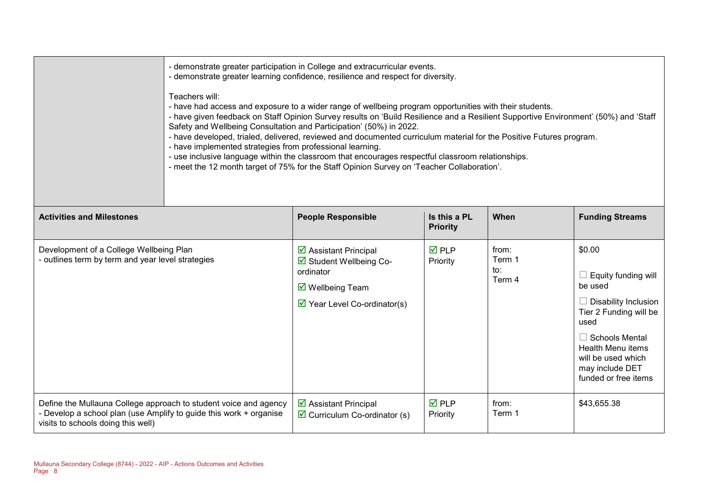|                                                                                                                                                                              | - demonstrate greater participation in College and extracurricular events.<br>- demonstrate greater learning confidence, resilience and respect for diversity.<br>Teachers will:<br>- have had access and exposure to a wider range of wellbeing program opportunities with their students.<br>- have given feedback on Staff Opinion Survey results on 'Build Resilience and a Resilient Supportive Environment' (50%) and 'Staff<br>Safety and Wellbeing Consultation and Participation' (50%) in 2022.<br>- have developed, trialed, delivered, reviewed and documented curriculum material for the Positive Futures program.<br>- have implemented strategies from professional learning.<br>- use inclusive language within the classroom that encourages respectful classroom relationships.<br>- meet the 12 month target of 75% for the Staff Opinion Survey on 'Teacher Collaboration'. |                                                                                                                                                         |                                 |                                  |                                                                                                                                                                                                                                 |
|------------------------------------------------------------------------------------------------------------------------------------------------------------------------------|--------------------------------------------------------------------------------------------------------------------------------------------------------------------------------------------------------------------------------------------------------------------------------------------------------------------------------------------------------------------------------------------------------------------------------------------------------------------------------------------------------------------------------------------------------------------------------------------------------------------------------------------------------------------------------------------------------------------------------------------------------------------------------------------------------------------------------------------------------------------------------------------------|---------------------------------------------------------------------------------------------------------------------------------------------------------|---------------------------------|----------------------------------|---------------------------------------------------------------------------------------------------------------------------------------------------------------------------------------------------------------------------------|
| <b>Activities and Milestones</b>                                                                                                                                             |                                                                                                                                                                                                                                                                                                                                                                                                                                                                                                                                                                                                                                                                                                                                                                                                                                                                                                  | <b>People Responsible</b>                                                                                                                               | Is this a PL<br><b>Priority</b> | When                             | <b>Funding Streams</b>                                                                                                                                                                                                          |
| Development of a College Wellbeing Plan<br>- outlines term by term and year level strategies                                                                                 |                                                                                                                                                                                                                                                                                                                                                                                                                                                                                                                                                                                                                                                                                                                                                                                                                                                                                                  | $\triangleright$ Assistant Principal<br>☑ Student Wellbeing Co-<br>ordinator<br>$\boxdot$ Wellbeing Team<br>$\triangleright$ Year Level Co-ordinator(s) | $\overline{M}$ PLP<br>Priority  | from:<br>Term 1<br>to:<br>Term 4 | \$0.00<br>$\Box$ Equity funding will<br>be used<br>$\Box$ Disability Inclusion<br>Tier 2 Funding will be<br>used<br>$\Box$ Schools Mental<br>Health Menu items<br>will be used which<br>may include DET<br>funded or free items |
| Define the Mullauna College approach to student voice and agency<br>- Develop a school plan (use Amplify to guide this work + organise<br>visits to schools doing this well) |                                                                                                                                                                                                                                                                                                                                                                                                                                                                                                                                                                                                                                                                                                                                                                                                                                                                                                  | ☑ Assistant Principal<br>$\triangleright$ Curriculum Co-ordinator (s)                                                                                   | $\overline{M}$ PLP<br>Priority  | from:<br>Term 1                  | \$43,655.38                                                                                                                                                                                                                     |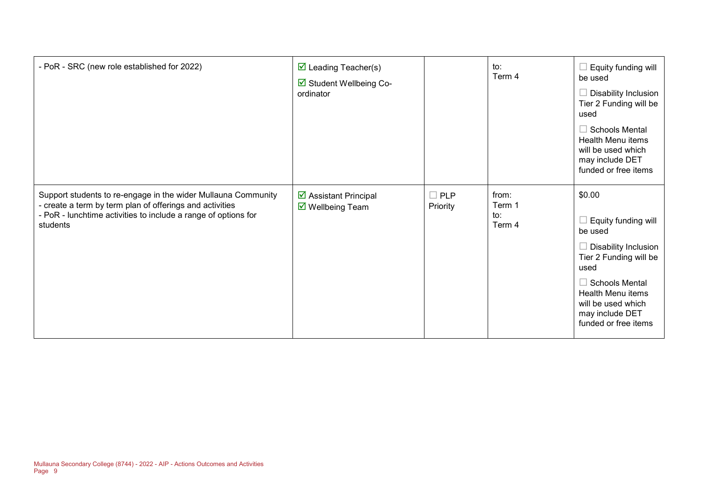| - PoR - SRC (new role established for 2022)                                                                                                                                                             | $\triangleright$ Leading Teacher(s)<br>☑ Student Wellbeing Co-<br>ordinator |                        | to:<br>Term 4                    | Equity funding will<br>be used<br><b>Disability Inclusion</b><br>Tier 2 Funding will be<br>used<br><b>Schools Mental</b><br><b>Health Menu items</b><br>will be used which<br>may include DET<br>funded or free items |
|---------------------------------------------------------------------------------------------------------------------------------------------------------------------------------------------------------|-----------------------------------------------------------------------------|------------------------|----------------------------------|-----------------------------------------------------------------------------------------------------------------------------------------------------------------------------------------------------------------------|
| Support students to re-engage in the wider Mullauna Community<br>- create a term by term plan of offerings and activities<br>- PoR - lunchtime activities to include a range of options for<br>students | ☑ Assistant Principal<br>$\overline{\mathbf{y}}$ Wellbeing Team             | $\Box$ PLP<br>Priority | from:<br>Term 1<br>to:<br>Term 4 | \$0.00<br>Equity funding will<br>be used<br>Disability Inclusion<br>Tier 2 Funding will be<br>used<br><b>Schools Mental</b><br>Health Menu items<br>will be used which<br>may include DET<br>funded or free items     |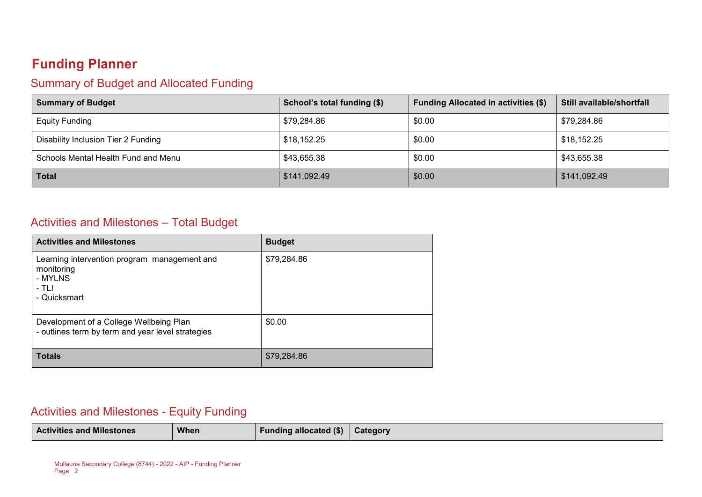## **Funding Planner**

### Summary of Budget and Allocated Funding

| <b>Summary of Budget</b>            | School's total funding (\$) | <b>Funding Allocated in activities (\$)</b> | Still available/shortfall |
|-------------------------------------|-----------------------------|---------------------------------------------|---------------------------|
| <b>Equity Funding</b>               | \$79,284.86                 | \$0.00                                      | \$79,284.86               |
| Disability Inclusion Tier 2 Funding | \$18,152.25                 | \$0.00                                      | \$18,152.25               |
| Schools Mental Health Fund and Menu | \$43,655.38                 | \$0.00                                      | \$43,655.38               |
| <b>Total</b>                        | \$141,092.49                | \$0.00                                      | \$141,092.49              |

#### Activities and Milestones – Total Budget

| <b>Activities and Milestones</b>                                                               | <b>Budget</b> |
|------------------------------------------------------------------------------------------------|---------------|
| Learning intervention program management and<br>monitoring<br>- MYLNS<br>- TLI<br>- Quicksmart | \$79,284.86   |
| Development of a College Wellbeing Plan<br>- outlines term by term and year level strategies   | \$0.00        |
| <b>Totals</b>                                                                                  | \$79,284.86   |

### Activities and Milestones - Equity Funding

| <b>Activities and Milestones</b> | When | Funding allocated (\$) | <b>Category</b> |
|----------------------------------|------|------------------------|-----------------|
|                                  |      |                        |                 |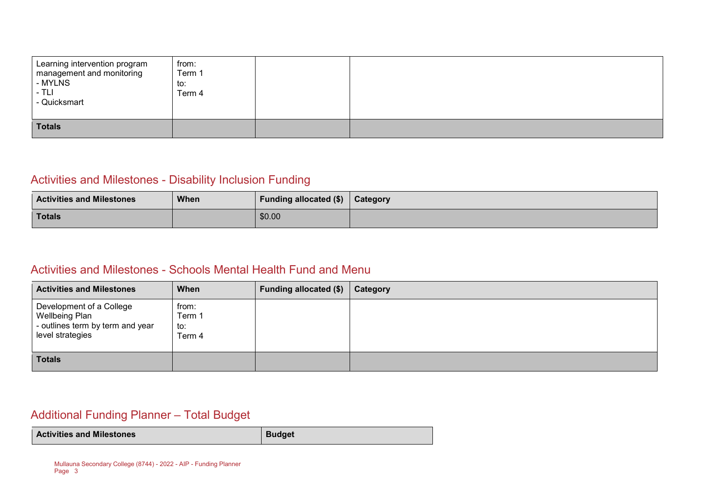| Learning intervention program<br>management and monitoring<br>- MYLNS<br>$-TLI$<br>- Quicksmart | from:<br>Term 1<br>to:<br>Term 4 |  |
|-------------------------------------------------------------------------------------------------|----------------------------------|--|
| <b>Totals</b>                                                                                   |                                  |  |

### Activities and Milestones - Disability Inclusion Funding

| <b>Activities and Milestones</b> | When | <b>Funding allocated (\$)</b> | Category |
|----------------------------------|------|-------------------------------|----------|
| <b>Totals</b>                    |      | \$0.00                        |          |

#### Activities and Milestones - Schools Mental Health Fund and Menu

| <b>Activities and Milestones</b>                                                                   | When                             | Funding allocated (\$) | Category |
|----------------------------------------------------------------------------------------------------|----------------------------------|------------------------|----------|
| Development of a College<br>Wellbeing Plan<br>- outlines term by term and year<br>level strategies | from:<br>Term 1<br>to:<br>Term 4 |                        |          |
| <b>Totals</b>                                                                                      |                                  |                        |          |

### Additional Funding Planner – Total Budget

**Activities and Milestones Budget Budget**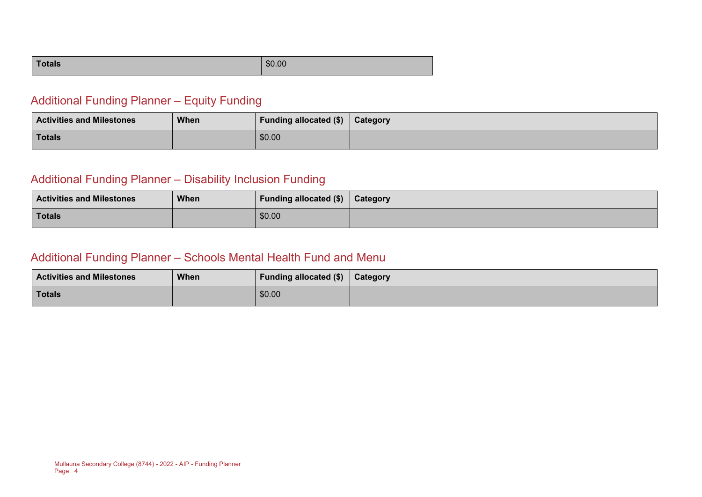| Totals | \$0.00 |
|--------|--------|
|--------|--------|

### Additional Funding Planner – Equity Funding

| <b>Activities and Milestones</b> | <b>When</b> | <b>Funding allocated (\$)</b> | Category |
|----------------------------------|-------------|-------------------------------|----------|
| <b>Totals</b>                    |             | \$0.00                        |          |

### Additional Funding Planner – Disability Inclusion Funding

| <b>Activities and Milestones</b> | <b>When</b> | Funding allocated (\$) | <b>Category</b> |
|----------------------------------|-------------|------------------------|-----------------|
| <b>Totals</b>                    |             | \$0.00                 |                 |

### Additional Funding Planner – Schools Mental Health Fund and Menu

| <b>Activities and Milestones</b> | <b>When</b> | Funding allocated (\$) | Category |
|----------------------------------|-------------|------------------------|----------|
| Totals                           |             | \$0.00                 |          |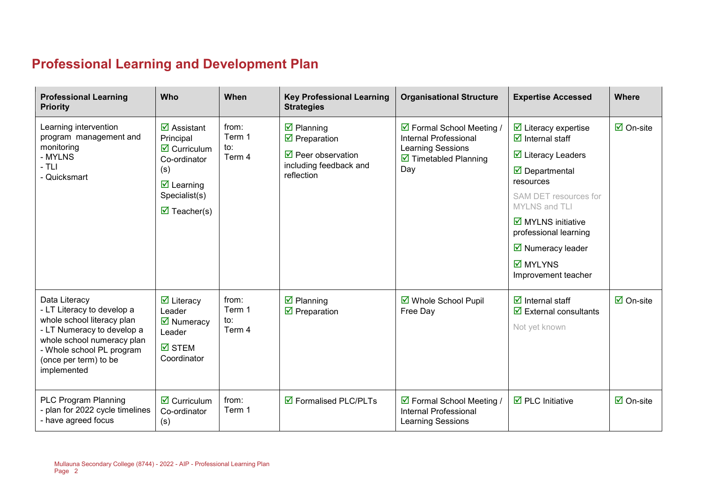## **Professional Learning and Development Plan**

| <b>Professional Learning</b><br><b>Priority</b>                                                                                                                                                            | Who                                                                                                                                                                                                    | When                                         | <b>Key Professional Learning</b><br><b>Strategies</b>                                                                                           | <b>Organisational Structure</b>                                                                                                      | <b>Expertise Accessed</b>                                                                                                                                                                                                                                                                                                                            | <b>Where</b>              |
|------------------------------------------------------------------------------------------------------------------------------------------------------------------------------------------------------------|--------------------------------------------------------------------------------------------------------------------------------------------------------------------------------------------------------|----------------------------------------------|-------------------------------------------------------------------------------------------------------------------------------------------------|--------------------------------------------------------------------------------------------------------------------------------------|------------------------------------------------------------------------------------------------------------------------------------------------------------------------------------------------------------------------------------------------------------------------------------------------------------------------------------------------------|---------------------------|
| Learning intervention<br>program management and<br>monitoring<br>- MYLNS<br>$-TLI$<br>- Quicksmart                                                                                                         | $\overline{\mathbf{M}}$ Assistant<br>Principal<br>$\overline{\mathbf{z}}$ Curriculum<br>Co-ordinator<br>(s)<br>$\overline{\mathbf{y}}$ Learning<br>Specialist(s)<br>$\overline{\mathbf{M}}$ Teacher(s) | from:<br>Term 1<br>to:<br>Term 4             | $\boxtimes$ Planning<br>$\overline{\mathbf{y}}$ Preparation<br>$\overline{\mathbf{y}}$ Peer observation<br>including feedback and<br>reflection | ☑ Formal School Meeting /<br>Internal Professional<br><b>Learning Sessions</b><br>$\overline{\mathbf{2}}$ Timetabled Planning<br>Day | $\triangleright$ Literacy expertise<br>$\overline{\mathbf{d}}$ Internal staff<br>$\triangleright$ Literacy Leaders<br>$\overline{\mathbf{y}}$ Departmental<br>resources<br>SAM DET resources for<br>MYLNS and TLI<br>$\overline{\mathbf{M}}$ MYLNS initiative<br>professional learning<br>$\overline{\mathbf{2}}$ Numeracy leader<br><b>Ø</b> MYLYNS | $\overline{\Box}$ On-site |
| Data Literacy<br>- LT Literacy to develop a<br>whole school literacy plan<br>- LT Numeracy to develop a<br>whole school numeracy plan<br>- Whole school PL program<br>(once per term) to be<br>implemented | $\overline{\mathbf{y}}$ Literacy<br>Leader<br>$\triangledown$ Numeracy<br>Leader<br>$\boxtimes$ STEM<br>Coordinator                                                                                    | from:<br>Term 1<br>$\mathsf{to}$ :<br>Term 4 | $\overline{\mathbf{z}}$ Planning<br>$\overline{\mathbf{y}}$ Preparation                                                                         | ☑ Whole School Pupil<br>Free Day                                                                                                     | Improvement teacher<br>$\overline{\mathbf{d}}$ Internal staff<br>$\overline{\mathbf{z}}$ External consultants<br>Not yet known                                                                                                                                                                                                                       | $\overline{\Box}$ On-site |
| <b>PLC Program Planning</b><br>- plan for 2022 cycle timelines<br>- have agreed focus                                                                                                                      | $\overline{\mathbf{z}}$ Curriculum<br>Co-ordinator<br>(s)                                                                                                                                              | from:<br>Term 1                              | $\overline{\mathbf{M}}$ Formalised PLC/PLTs                                                                                                     | ☑ Formal School Meeting /<br><b>Internal Professional</b><br><b>Learning Sessions</b>                                                | $\triangleright$ PLC Initiative                                                                                                                                                                                                                                                                                                                      | $\overline{\Box}$ On-site |